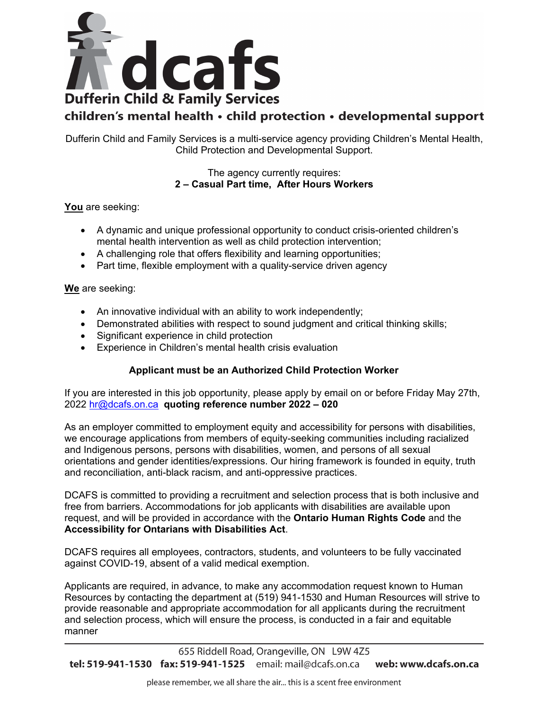

## children's mental health · child protection · developmental support

Dufferin Child and Family Services is a multi-service agency providing Children's Mental Health, Child Protection and Developmental Support.

> The agency currently requires: **2 – Casual Part time, After Hours Workers**

**You** are seeking:

- A dynamic and unique professional opportunity to conduct crisis-oriented children's mental health intervention as well as child protection intervention;
- A challenging role that offers flexibility and learning opportunities;
- Part time, flexible employment with a quality-service driven agency

**We** are seeking:

- An innovative individual with an ability to work independently;
- Demonstrated abilities with respect to sound judgment and critical thinking skills;
- Significant experience in child protection
- Experience in Children's mental health crisis evaluation

## **Applicant must be an Authorized Child Protection Worker**

If you are interested in this job opportunity, please apply by email on or before Friday May 27th, 2022 [hr@dcafs.on.ca](mailto:hr@dcafs.on.ca) **quoting reference number 2022 – 020**

As an employer committed to employment equity and accessibility for persons with disabilities, we encourage applications from members of equity-seeking communities including racialized and Indigenous persons, persons with disabilities, women, and persons of all sexual orientations and gender identities/expressions. Our hiring framework is founded in equity, truth and reconciliation, anti-black racism, and anti-oppressive practices.

DCAFS is committed to providing a recruitment and selection process that is both inclusive and free from barriers. Accommodations for job applicants with disabilities are available upon request, and will be provided in accordance with the **Ontario Human Rights Code** and the **[Accessibility for Ontarians with Disabilities Act](https://www.ontario.ca/laws/statute/05a11)**.

DCAFS requires all employees, contractors, students, and volunteers to be fully vaccinated against COVID-19, absent of a valid medical exemption.

Applicants are required, in advance, to make any accommodation request known to Human Resources by contacting the department at (519) 941-1530 and Human Resources will strive to provide reasonable and appropriate accommodation for all applicants during the recruitment and selection process, which will ensure the process, is conducted in a fair and equitable manner